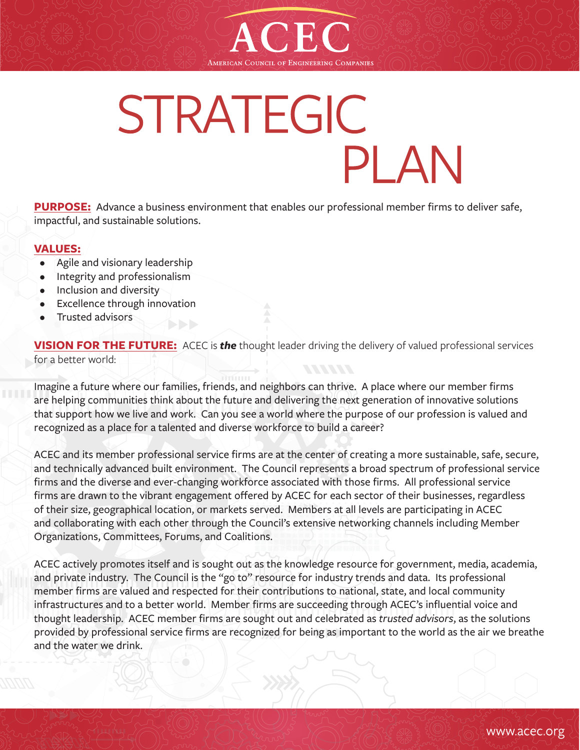

# STRATEGIC **PLAN**

**PURPOSE:** Advance a business environment that enables our professional member firms to deliver safe, impactful, and sustainable solutions.

# **VALUES:**

- Agile and visionary leadership
- Integrity and professionalism
- Inclusion and diversity
- Excellence through innovation
- Trusted advisors

**VISION FOR THE FUTURE:** ACEC is *the* thought leader driving the delivery of valued professional services for a better world:

Imagine a future where our families, friends, and neighbors can thrive. A place where our member firms are helping communities think about the future and delivering the next generation of innovative solutions that support how we live and work. Can you see a world where the purpose of our profession is valued and recognized as a place for a talented and diverse workforce to build a career?

ACEC and its member professional service firms are at the center of creating a more sustainable, safe, secure, and technically advanced built environment. The Council represents a broad spectrum of professional service firms and the diverse and ever-changing workforce associated with those firms. All professional service firms are drawn to the vibrant engagement offered by ACEC for each sector of their businesses, regardless of their size, geographical location, or markets served. Members at all levels are participating in ACEC and collaborating with each other through the Council's extensive networking channels including Member Organizations, Committees, Forums, and Coalitions.

ACEC actively promotes itself and is sought out as the knowledge resource for government, media, academia, and private industry. The Council is the "go to" resource for industry trends and data. Its professional member firms are valued and respected for their contributions to national, state, and local community infrastructures and to a better world. Member firms are succeeding through ACEC's influential voice and thought leadership. ACEC member firms are sought out and celebrated as *trusted advisors*, as the solutions provided by professional service firms are recognized for being as important to the world as the air we breathe and the water we drink.